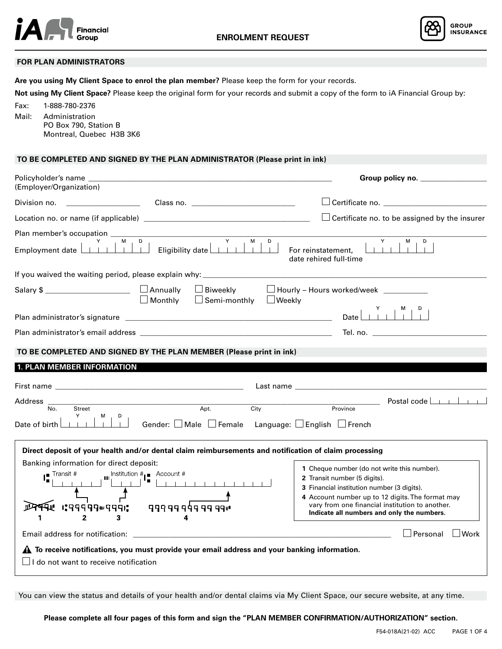



## **FOR PLAN ADMINISTRATORS**

**Are you using My Client Space to enrol the plan member?** Please keep the form for your records.

**Not using My Client Space?** Please keep the original form for your records and submit a copy of the form to iA Financial Group by:

Fax: 1-888-780-2376 Mail: Administration PO Box 790, Station B Montreal, Quebec H3B 3K6

# **TO BE COMPLETED AND SIGNED BY THE PLAN ADMINISTRATOR (Please print in ink)**

| Policyholder's name                                                                                                                                                                                                                                                                                                                                                                                                                                            | Group policy no. ________________                                                                                                                                                                                              |
|----------------------------------------------------------------------------------------------------------------------------------------------------------------------------------------------------------------------------------------------------------------------------------------------------------------------------------------------------------------------------------------------------------------------------------------------------------------|--------------------------------------------------------------------------------------------------------------------------------------------------------------------------------------------------------------------------------|
| (Employer/Organization)                                                                                                                                                                                                                                                                                                                                                                                                                                        |                                                                                                                                                                                                                                |
|                                                                                                                                                                                                                                                                                                                                                                                                                                                                |                                                                                                                                                                                                                                |
|                                                                                                                                                                                                                                                                                                                                                                                                                                                                | $\Box$ Certificate no. to be assigned by the insurer                                                                                                                                                                           |
| Plan member's occupation                                                                                                                                                                                                                                                                                                                                                                                                                                       |                                                                                                                                                                                                                                |
|                                                                                                                                                                                                                                                                                                                                                                                                                                                                | Y.<br>M<br>D<br>date rehired full-time                                                                                                                                                                                         |
| If you waived the waiting period, please explain why: __________________________                                                                                                                                                                                                                                                                                                                                                                               |                                                                                                                                                                                                                                |
| Salary $\frac{1}{2}$ $\Box$ $\Box$ Annually<br>$\Box$ Monthly                                                                                                                                                                                                                                                                                                                                                                                                  | □ Biweekly □ Hourly - Hours worked/week _________<br>□ Semi-monthly □ Weekly                                                                                                                                                   |
|                                                                                                                                                                                                                                                                                                                                                                                                                                                                | $\begin{array}{c c c c c c} & \mathsf{Y} & \mathsf{M} & \mathsf{M} \\ \hline & & & & & \end{array}$<br>Date                                                                                                                    |
|                                                                                                                                                                                                                                                                                                                                                                                                                                                                | Tel. no. with a state of the state of the state of the state of the state of the state of the state of the state of the state of the state of the state of the state of the state of the state of the state of the state of th |
|                                                                                                                                                                                                                                                                                                                                                                                                                                                                |                                                                                                                                                                                                                                |
| TO BE COMPLETED AND SIGNED BY THE PLAN MEMBER (Please print in ink)                                                                                                                                                                                                                                                                                                                                                                                            |                                                                                                                                                                                                                                |
| 1. PLAN MEMBER INFORMATION                                                                                                                                                                                                                                                                                                                                                                                                                                     |                                                                                                                                                                                                                                |
|                                                                                                                                                                                                                                                                                                                                                                                                                                                                | Last name and the contract of the contract of the contract of the contract of the contract of the contract of the contract of the contract of the contract of the contract of the contract of the contract of the contract of  |
| Address                                                                                                                                                                                                                                                                                                                                                                                                                                                        | <u>Destal code</u>                                                                                                                                                                                                             |
| $\overline{\text{No}}$ .<br>Street<br>Y<br>$M_{\odot}$                                                                                                                                                                                                                                                                                                                                                                                                         | Apt.<br>City<br>Province                                                                                                                                                                                                       |
| Date of birth                                                                                                                                                                                                                                                                                                                                                                                                                                                  | Gender: $\Box$ Male $\Box$ Female Language: $\Box$ English $\Box$ French                                                                                                                                                       |
|                                                                                                                                                                                                                                                                                                                                                                                                                                                                |                                                                                                                                                                                                                                |
| Direct deposit of your health and/or dental claim reimbursements and notification of claim processing                                                                                                                                                                                                                                                                                                                                                          |                                                                                                                                                                                                                                |
| Banking information for direct deposit:                                                                                                                                                                                                                                                                                                                                                                                                                        | 1 Cheque number (do not write this number).                                                                                                                                                                                    |
| $\begin{array}{c c c c c c} \text{un} & \text{Institution } # & \text{Account } # & \text{if} & \text{if} & \text{if} & \text{if} & \text{if} & \text{if} & \text{if} & \text{if} & \text{if} & \text{if} & \text{if} & \text{if} & \text{if} & \text{if} & \text{if} & \text{if} & \text{if} & \text{if} & \text{if} & \text{if} & \text{if} & \text{if} & \text{if} & \text{if} & \text{if} & \text{if} & \text{if} & \text{if} & \text{if} & \text{if} & \$ | 2 Transit number (5 digits).                                                                                                                                                                                                   |
|                                                                                                                                                                                                                                                                                                                                                                                                                                                                | 3 Financial institution number (3 digits).                                                                                                                                                                                     |
|                                                                                                                                                                                                                                                                                                                                                                                                                                                                | 4 Account number up to 12 digits. The format may                                                                                                                                                                               |
| ╶┖┑╶╶┌┤<br>╺┉╒╒╒╒╒╒╒╒╒╒╒╒╒╒╒╒╒╒╒┇╹╺ <del>╟</del>                                                                                                                                                                                                                                                                                                                                                                                                               | vary from one financial institution to another.<br>Indicate all numbers and only the numbers.                                                                                                                                  |
| $\overline{2}$<br>3                                                                                                                                                                                                                                                                                                                                                                                                                                            |                                                                                                                                                                                                                                |
|                                                                                                                                                                                                                                                                                                                                                                                                                                                                | □ Personal □ Work                                                                                                                                                                                                              |
| $\triangle$ To receive notifications, you must provide your email address and your banking information.                                                                                                                                                                                                                                                                                                                                                        |                                                                                                                                                                                                                                |
| $\Box$ I do not want to receive notification                                                                                                                                                                                                                                                                                                                                                                                                                   |                                                                                                                                                                                                                                |
|                                                                                                                                                                                                                                                                                                                                                                                                                                                                |                                                                                                                                                                                                                                |

You can view the status and details of your health and/or dental claims via My Client Space, our secure website, at any time.

**Please complete all four pages of this form and sign the "PLAN MEMBER CONFIRMATION/AUTHORIZATION" section.**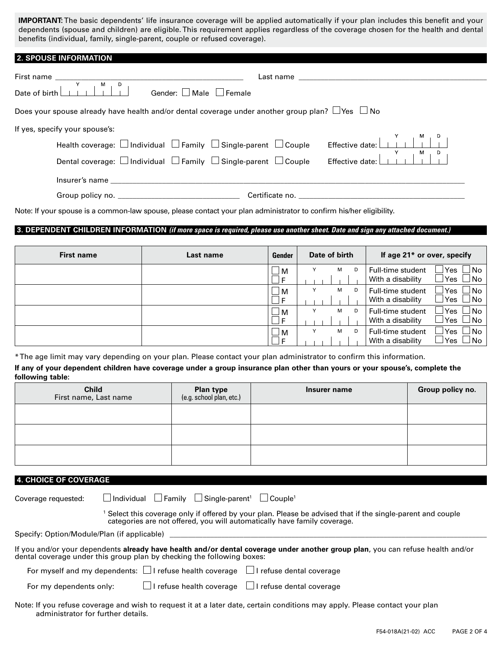**IMPORTANT:** The basic dependents' life insurance coverage will be applied automatically if your plan includes this benefit and your dependents (spouse and children) are eligible. This requirement applies regardless of the coverage chosen for the health and dental benefits (individual, family, single-parent, couple or refused coverage).

| <b>2. SPOUSE INFORMATION</b>                                                                                                                                                                                                                                                                                                                                                                                                                   |                                                                                                                |
|------------------------------------------------------------------------------------------------------------------------------------------------------------------------------------------------------------------------------------------------------------------------------------------------------------------------------------------------------------------------------------------------------------------------------------------------|----------------------------------------------------------------------------------------------------------------|
| $\overline{M}$<br>D<br>Date of birth $\lfloor$<br>Gender: □ Male □ Female                                                                                                                                                                                                                                                                                                                                                                      | Last name that the contract of the contract of the contract of the contract of the contract of the contract of |
| Does your spouse already have health and/or dental coverage under another group plan? $\Box$ Yes $\Box$ No                                                                                                                                                                                                                                                                                                                                     |                                                                                                                |
| If yes, specify your spouse's:<br>Health coverage: $\Box$ Individual $\Box$ Family $\Box$ Single-parent $\Box$ Couple<br>Dental coverage: $\Box$ Individual $\Box$ Family $\Box$ Single-parent $\Box$ Couple<br>Insurer's name and the state of the state of the state of the state of the state of the state of the state of the state of the state of the state of the state of the state of the state of the state of the state of the stat | M.<br>Effective date:                                                                                          |
|                                                                                                                                                                                                                                                                                                                                                                                                                                                | Certificate no.                                                                                                |

Note: If your spouse is a common-law spouse, please contact your plan administrator to confirm his/her eligibility.

# **3. DEPENDENT CHILDREN INFORMATION** *(if more space is required, please use another sheet. Date and sign any attached document.)*

| <b>First name</b> | Last name | Gender               | Date of birth | If age 21* or over, specify                                                              |
|-------------------|-----------|----------------------|---------------|------------------------------------------------------------------------------------------|
|                   |           | $\Box$ M<br>__I F    | M<br>Y<br>D   | $\forall$ es $\Box$ No<br>Full-time student<br>lγes □No<br>With a disability             |
|                   |           | ∟м<br>$\Box$ F       | Y<br>м<br>D   | $\exists$ Yes $\Box$ No<br>Full-time student<br> Yes □No<br>With a disability            |
|                   |           | $\Box$ M<br>$\Box$ F | Y<br>м<br>D   | $\exists$ Yes $\Box$ No<br>Full-time student<br> Yes □No<br>With a disability            |
|                   |           | ∟м<br>⊥l F           | м<br>Y<br>D   | $\mathsf{l}\mathsf{Yes} \ \Box$ No<br>Full-time student<br>lYes ∐No<br>With a disability |

\* The age limit may vary depending on your plan. Please contact your plan administrator to confirm this information.

**If any of your dependent children have coverage under a group insurance plan other than yours or your spouse's, complete the following table:**

| <b>Child</b><br>First name, Last name | <b>Plan type</b><br>(e.g. school plan, etc.) | Insurer name | Group policy no. |
|---------------------------------------|----------------------------------------------|--------------|------------------|
|                                       |                                              |              |                  |
|                                       |                                              |              |                  |
|                                       |                                              |              |                  |

# **4. CHOICE OF COVERAGE**

| Coverage requested:                                                                                                                                                                                       |  |  |  | $\Box$ Individual $\Box$ Family $\Box$ Single-parent <sup>1</sup> $\Box$ Couple <sup>1</sup> |  |
|-----------------------------------------------------------------------------------------------------------------------------------------------------------------------------------------------------------|--|--|--|----------------------------------------------------------------------------------------------|--|
| Select this coverage only if offered by your plan. Please be advised that if the single-parent and couple<br>categories are not offered, you will automatically have family coverage.                     |  |  |  |                                                                                              |  |
| Specify: Option/Module/Plan (if applicable)                                                                                                                                                               |  |  |  |                                                                                              |  |
| If you and/or your dependents already have health and/or dental coverage under another group plan, you can refuse health and/or<br>dental coverage under this group plan by checking the following boxes: |  |  |  |                                                                                              |  |
| For myself and my dependents: $\Box$ I refuse health coverage $\Box$ I refuse dental coverage                                                                                                             |  |  |  |                                                                                              |  |
| $\Box$ I refuse health coverage $\Box$ I refuse dental coverage<br>For my dependents only:                                                                                                                |  |  |  |                                                                                              |  |
| Note: If you refuse coverage and wish to request it at a later date, certain conditions may apply. Please contact your plan<br>administrator for further details.                                         |  |  |  |                                                                                              |  |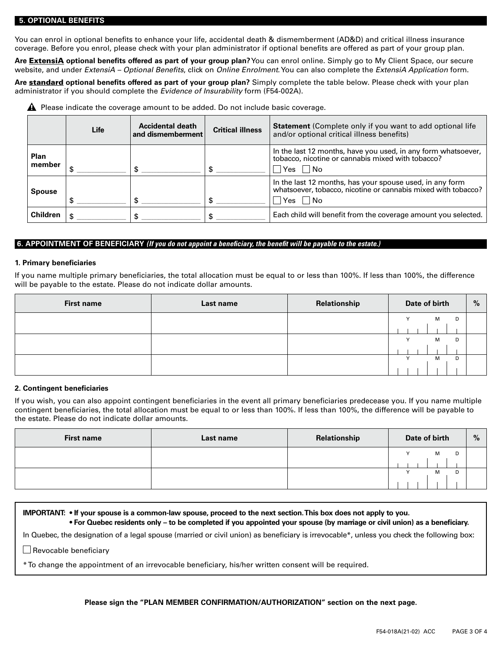### **5. OPTIONAL BENEFITS**

You can enrol in optional benefits to enhance your life, accidental death & dismemberment (AD&D) and critical illness insurance coverage. Before you enrol, please check with your plan administrator if optional benefits are offered as part of your group plan.

**Are** ExtensiA **optional benefits offered as part of your group plan?** You can enrol online. Simply go to My Client Space, our secure website, and under *ExtensiA – Optional Benefits*, click on *Online Enrolment*. You can also complete the *ExtensiA Application* form.

**Are** standard **optional benefits offered as part of your group plan?** Simply complete the table below. Please check with your plan administrator if you should complete the *Evidence of Insurability* form (F54-002A).

**A** Please indicate the coverage amount to be added. Do not include basic coverage.

|                       | Life | <b>Accidental death</b><br>$\mid$ and dismemberment | <b>Critical illness</b> | <b>Statement</b> (Complete only if you want to add optional life<br>and/or optional critical illness benefits)                             |
|-----------------------|------|-----------------------------------------------------|-------------------------|--------------------------------------------------------------------------------------------------------------------------------------------|
| <b>Plan</b><br>member |      |                                                     |                         | In the last 12 months, have you used, in any form whatsoever,<br>tobacco, nicotine or cannabis mixed with tobacco?<br>$\Box$ Yes $\Box$ No |
| <b>Spouse</b>         |      |                                                     |                         | In the last 12 months, has your spouse used, in any form<br>whatsoever, tobacco, nicotine or cannabis mixed with tobacco?<br>$Yes$ No      |
| <b>Children</b>       |      |                                                     |                         | Each child will benefit from the coverage amount you selected.                                                                             |

## **6. APPOINTMENT OF BENEFICIARY** *(If you do not appoint a beneficiary, the benefit will be payable to the estate.)*

#### **1. Primary beneficiaries**

If you name multiple primary beneficiaries, the total allocation must be equal to or less than 100%. If less than 100%, the difference will be payable to the estate. Please do not indicate dollar amounts.

| <b>First name</b> | Last name | Relationship | Date of birth |        | % |
|-------------------|-----------|--------------|---------------|--------|---|
|                   |           |              | $\checkmark$  | M<br>D |   |
|                   |           |              |               |        |   |
|                   |           |              | $\checkmark$  | D<br>м |   |
|                   |           |              |               |        |   |
|                   |           |              | $\checkmark$  | D<br>м |   |
|                   |           |              |               |        |   |

## **2. Contingent beneficiaries**

If you wish, you can also appoint contingent beneficiaries in the event all primary beneficiaries predecease you. If you name multiple contingent beneficiaries, the total allocation must be equal to or less than 100%. If less than 100%, the difference will be payable to the estate. Please do not indicate dollar amounts.

| <b>First name</b> | Last name | Relationship | Date of birth |   |   | $\%$ |
|-------------------|-----------|--------------|---------------|---|---|------|
|                   |           |              | $\sqrt{}$     | м | D |      |
|                   |           |              |               |   |   |      |
|                   |           |              |               | м | D |      |



## **Please sign the "PLAN MEMBER CONFIRMATION/AUTHORIZATION" section on the next page.**